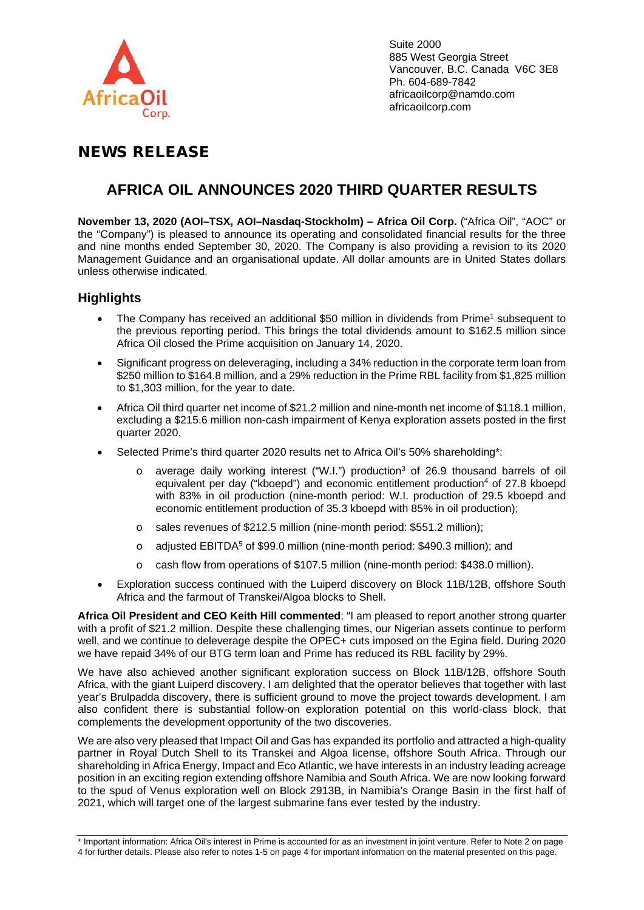

Suite 2000 885 West Georgia Street Vancouver, B.C. Canada V6C 3E8 Ph. 604-689-7842 africaoilcorp@namdo.com africaoilcorp.com

# NEWS RELEASE

## **AFRICA OIL ANNOUNCES 2020 THIRD QUARTER RESULTS**

**November 13, 2020 (AOI–TSX, AOI–Nasdaq-Stockholm) – Africa Oil Corp.** ("Africa Oil", "AOC" or the "Company") is pleased to announce its operating and consolidated financial results for the three and nine months ended September 30, 2020. The Company is also providing a revision to its 2020 Management Guidance and an organisational update. All dollar amounts are in United States dollars unless otherwise indicated.

## **Highlights**

- The Company has received an additional \$50 million in dividends from Prime<sup>1</sup> subsequent to the previous reporting period. This brings the total dividends amount to \$162.5 million since Africa Oil closed the Prime acquisition on January 14, 2020.
- Significant progress on deleveraging, including a 34% reduction in the corporate term loan from \$250 million to \$164.8 million, and a 29% reduction in the Prime RBL facility from \$1,825 million to \$1,303 million, for the year to date.
- Africa Oil third quarter net income of \$21.2 million and nine-month net income of \$118.1 million, excluding a \$215.6 million non-cash impairment of Kenya exploration assets posted in the first quarter 2020.
- Selected Prime's third quarter 2020 results net to Africa Oil's 50% shareholding\*:
	- average daily working interest ("W.I.") production<sup>3</sup> of 26.9 thousand barrels of oil equivalent per day ("kboepd") and economic entitlement production<sup>4</sup> of 27.8 kboepd with 83% in oil production (nine-month period: W.I. production of 29.5 kboepd and economic entitlement production of 35.3 kboepd with 85% in oil production);
	- o sales revenues of \$212.5 million (nine-month period: \$551.2 million);
	- $\circ$  adjusted EBITDA<sup>5</sup> of \$99.0 million (nine-month period: \$490.3 million); and
	- o cash flow from operations of \$107.5 million (nine-month period: \$438.0 million).
- Exploration success continued with the Luiperd discovery on Block 11B/12B, offshore South Africa and the farmout of Transkei/Algoa blocks to Shell.

**Africa Oil President and CEO Keith Hill commented**: "I am pleased to report another strong quarter with a profit of \$21.2 million. Despite these challenging times, our Nigerian assets continue to perform well, and we continue to deleverage despite the OPEC+ cuts imposed on the Egina field. During 2020 we have repaid 34% of our BTG term loan and Prime has reduced its RBL facility by 29%.

We have also achieved another significant exploration success on Block 11B/12B, offshore South Africa, with the giant Luiperd discovery. I am delighted that the operator believes that together with last year's Brulpadda discovery, there is sufficient ground to move the project towards development. I am also confident there is substantial follow-on exploration potential on this world-class block, that complements the development opportunity of the two discoveries.

We are also very pleased that Impact Oil and Gas has expanded its portfolio and attracted a high-quality partner in Royal Dutch Shell to its Transkei and Algoa license, offshore South Africa. Through our shareholding in Africa Energy, Impact and Eco Atlantic, we have interests in an industry leading acreage position in an exciting region extending offshore Namibia and South Africa. We are now looking forward to the spud of Venus exploration well on Block 2913B, in Namibia's Orange Basin in the first half of 2021, which will target one of the largest submarine fans ever tested by the industry.

<sup>\*</sup> Important information: Africa Oil's interest in Prime is accounted for as an investment in joint venture. Refer to Note 2 on page 4 for further details. Please also refer to notes 1-5 on page 4 for important information on the material presented on this page.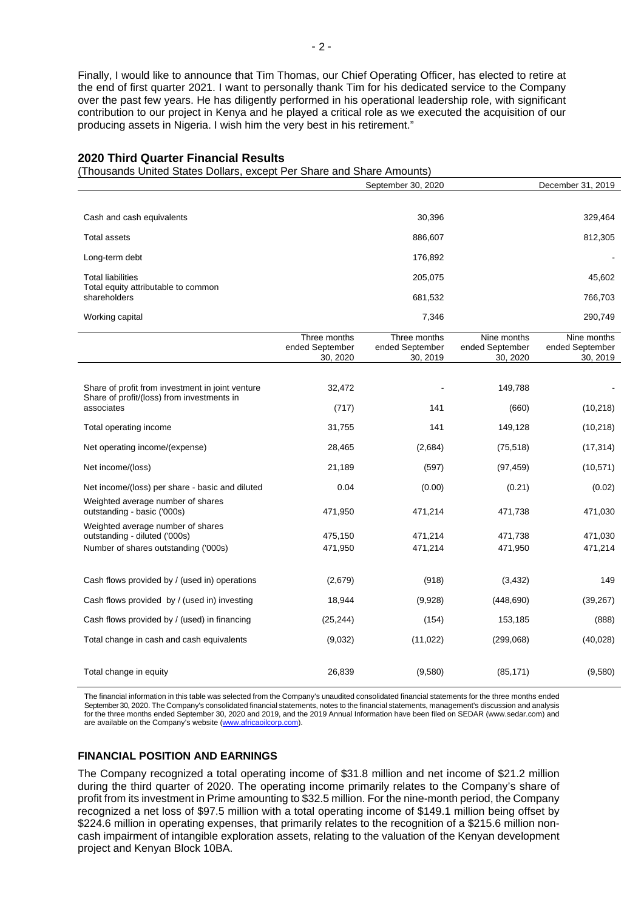Finally, I would like to announce that Tim Thomas, our Chief Operating Officer, has elected to retire at the end of first quarter 2021. I want to personally thank Tim for his dedicated service to the Company over the past few years. He has diligently performed in his operational leadership role, with significant contribution to our project in Kenya and he played a critical role as we executed the acquisition of our producing assets in Nigeria. I wish him the very best in his retirement."

### **2020 Third Quarter Financial Results**

(Thousands United States Dollars, except Per Share and Share Amounts)

|                                                                                                | September 30, 2020                          |                                             |                                            | December 31, 2019                          |  |
|------------------------------------------------------------------------------------------------|---------------------------------------------|---------------------------------------------|--------------------------------------------|--------------------------------------------|--|
|                                                                                                |                                             |                                             |                                            |                                            |  |
| Cash and cash equivalents                                                                      |                                             | 30,396                                      |                                            | 329,464                                    |  |
| <b>Total assets</b>                                                                            |                                             | 886,607                                     |                                            | 812,305                                    |  |
| Long-term debt                                                                                 |                                             | 176,892                                     |                                            |                                            |  |
| <b>Total liabilities</b>                                                                       |                                             | 205,075                                     |                                            | 45,602                                     |  |
| Total equity attributable to common<br>shareholders                                            |                                             | 681,532                                     |                                            | 766,703                                    |  |
| Working capital                                                                                |                                             | 7,346                                       |                                            | 290,749                                    |  |
|                                                                                                | Three months<br>ended September<br>30, 2020 | Three months<br>ended September<br>30, 2019 | Nine months<br>ended September<br>30, 2020 | Nine months<br>ended September<br>30, 2019 |  |
|                                                                                                |                                             |                                             |                                            |                                            |  |
| Share of profit from investment in joint venture<br>Share of profit/(loss) from investments in | 32,472                                      |                                             | 149,788                                    |                                            |  |
| associates                                                                                     | (717)                                       | 141                                         | (660)                                      | (10, 218)                                  |  |
| Total operating income                                                                         | 31,755                                      | 141                                         | 149,128                                    | (10, 218)                                  |  |
| Net operating income/(expense)                                                                 | 28,465                                      | (2,684)                                     | (75, 518)                                  | (17, 314)                                  |  |
| Net income/(loss)                                                                              | 21,189                                      | (597)                                       | (97, 459)                                  | (10, 571)                                  |  |
| Net income/(loss) per share - basic and diluted                                                | 0.04                                        | (0.00)                                      | (0.21)                                     | (0.02)                                     |  |
| Weighted average number of shares<br>outstanding - basic ('000s)                               | 471,950                                     | 471,214                                     | 471,738                                    | 471,030                                    |  |
| Weighted average number of shares                                                              |                                             |                                             |                                            |                                            |  |
| outstanding - diluted ('000s)<br>Number of shares outstanding ('000s)                          | 475,150<br>471,950                          | 471,214<br>471,214                          | 471,738<br>471,950                         | 471,030<br>471,214                         |  |
|                                                                                                |                                             |                                             |                                            |                                            |  |
| Cash flows provided by / (used in) operations                                                  | (2,679)                                     | (918)                                       | (3, 432)                                   | 149                                        |  |
| Cash flows provided by / (used in) investing                                                   | 18,944                                      | (9,928)                                     | (448, 690)                                 | (39, 267)                                  |  |
| Cash flows provided by / (used) in financing                                                   | (25, 244)                                   | (154)                                       | 153,185                                    | (888)                                      |  |
| Total change in cash and cash equivalents                                                      | (9,032)                                     | (11, 022)                                   | (299,068)                                  | (40, 028)                                  |  |
| Total change in equity                                                                         | 26,839                                      | (9,580)                                     | (85, 171)                                  | (9,580)                                    |  |

The financial information in this table was selected from the Company's unaudited consolidated financial statements for the three months ended September 30, 2020. The Company's consolidated financial statements, notes to the financial statements, management's discussion and analysis for the three months ended September 30, 2020 and 2019, and the 2019 Annual Information have been filed on SEDAR (www.sedar.com) and are available on the Company's website [\(www.africaoilcorp.com\)](about:blank)

## **FINANCIAL POSITION AND EARNINGS**

The Company recognized a total operating income of \$31.8 million and net income of \$21.2 million during the third quarter of 2020. The operating income primarily relates to the Company's share of profit from its investment in Prime amounting to \$32.5 million. For the nine-month period, the Company recognized a net loss of \$97.5 million with a total operating income of \$149.1 million being offset by \$224.6 million in operating expenses, that primarily relates to the recognition of a \$215.6 million noncash impairment of intangible exploration assets, relating to the valuation of the Kenyan development project and Kenyan Block 10BA.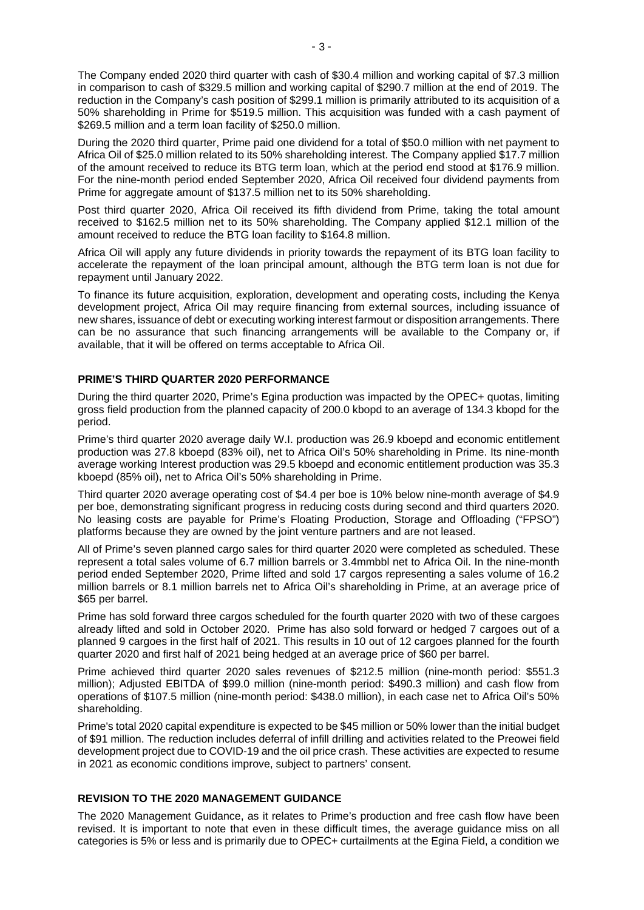The Company ended 2020 third quarter with cash of \$30.4 million and working capital of \$7.3 million in comparison to cash of \$329.5 million and working capital of \$290.7 million at the end of 2019. The reduction in the Company's cash position of \$299.1 million is primarily attributed to its acquisition of a 50% shareholding in Prime for \$519.5 million. This acquisition was funded with a cash payment of \$269.5 million and a term loan facility of \$250.0 million.

During the 2020 third quarter, Prime paid one dividend for a total of \$50.0 million with net payment to Africa Oil of \$25.0 million related to its 50% shareholding interest. The Company applied \$17.7 million of the amount received to reduce its BTG term loan, which at the period end stood at \$176.9 million. For the nine-month period ended September 2020, Africa Oil received four dividend payments from Prime for aggregate amount of \$137.5 million net to its 50% shareholding.

Post third quarter 2020, Africa Oil received its fifth dividend from Prime, taking the total amount received to \$162.5 million net to its 50% shareholding. The Company applied \$12.1 million of the amount received to reduce the BTG loan facility to \$164.8 million.

Africa Oil will apply any future dividends in priority towards the repayment of its BTG loan facility to accelerate the repayment of the loan principal amount, although the BTG term loan is not due for repayment until January 2022.

To finance its future acquisition, exploration, development and operating costs, including the Kenya development project, Africa Oil may require financing from external sources, including issuance of new shares, issuance of debt or executing working interest farmout or disposition arrangements. There can be no assurance that such financing arrangements will be available to the Company or, if available, that it will be offered on terms acceptable to Africa Oil.

## **PRIME'S THIRD QUARTER 2020 PERFORMANCE**

During the third quarter 2020, Prime's Egina production was impacted by the OPEC+ quotas, limiting gross field production from the planned capacity of 200.0 kbopd to an average of 134.3 kbopd for the period.

Prime's third quarter 2020 average daily W.I. production was 26.9 kboepd and economic entitlement production was 27.8 kboepd (83% oil), net to Africa Oil's 50% shareholding in Prime. Its nine-month average working Interest production was 29.5 kboepd and economic entitlement production was 35.3 kboepd (85% oil), net to Africa Oil's 50% shareholding in Prime.

Third quarter 2020 average operating cost of \$4.4 per boe is 10% below nine-month average of \$4.9 per boe, demonstrating significant progress in reducing costs during second and third quarters 2020. No leasing costs are payable for Prime's Floating Production, Storage and Offloading ("FPSO") platforms because they are owned by the joint venture partners and are not leased.

All of Prime's seven planned cargo sales for third quarter 2020 were completed as scheduled. These represent a total sales volume of 6.7 million barrels or 3.4mmbbl net to Africa Oil. In the nine-month period ended September 2020, Prime lifted and sold 17 cargos representing a sales volume of 16.2 million barrels or 8.1 million barrels net to Africa Oil's shareholding in Prime, at an average price of \$65 per barrel.

Prime has sold forward three cargos scheduled for the fourth quarter 2020 with two of these cargoes already lifted and sold in October 2020. Prime has also sold forward or hedged 7 cargoes out of a planned 9 cargoes in the first half of 2021. This results in 10 out of 12 cargoes planned for the fourth quarter 2020 and first half of 2021 being hedged at an average price of \$60 per barrel.

Prime achieved third quarter 2020 sales revenues of \$212.5 million (nine-month period: \$551.3 million); Adjusted EBITDA of \$99.0 million (nine-month period: \$490.3 million) and cash flow from operations of \$107.5 million (nine-month period: \$438.0 million), in each case net to Africa Oil's 50% shareholding.

Prime's total 2020 capital expenditure is expected to be \$45 million or 50% lower than the initial budget of \$91 million. The reduction includes deferral of infill drilling and activities related to the Preowei field development project due to COVID-19 and the oil price crash. These activities are expected to resume in 2021 as economic conditions improve, subject to partners' consent.

## **REVISION TO THE 2020 MANAGEMENT GUIDANCE**

The 2020 Management Guidance, as it relates to Prime's production and free cash flow have been revised. It is important to note that even in these difficult times, the average guidance miss on all categories is 5% or less and is primarily due to OPEC+ curtailments at the Egina Field, a condition we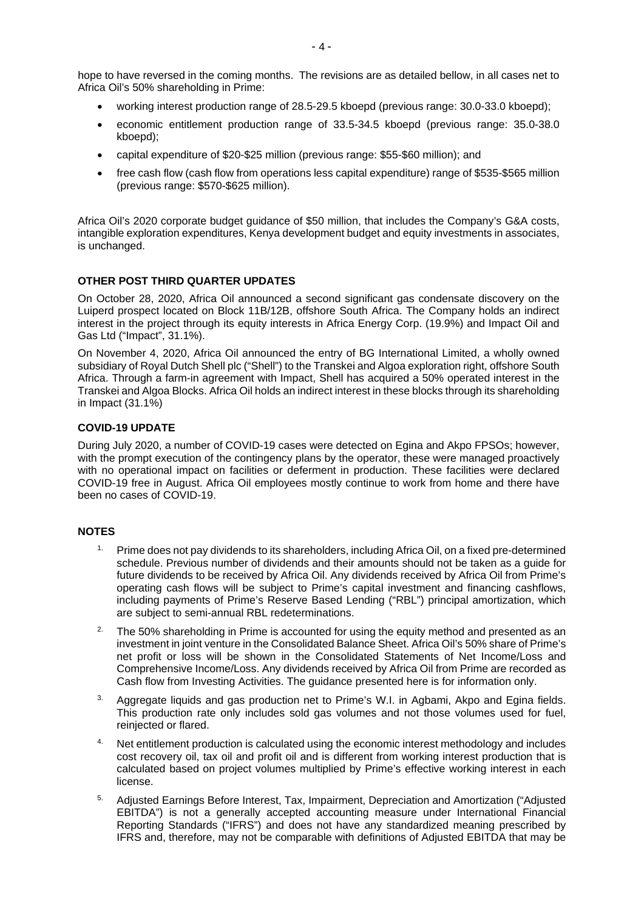hope to have reversed in the coming months. The revisions are as detailed bellow, in all cases net to Africa Oil's 50% shareholding in Prime:

- working interest production range of 28.5-29.5 kboepd (previous range: 30.0-33.0 kboepd);
- economic entitlement production range of 33.5-34.5 kboepd (previous range: 35.0-38.0 kboepd);
- capital expenditure of \$20-\$25 million (previous range: \$55-\$60 million); and
- free cash flow (cash flow from operations less capital expenditure) range of \$535-\$565 million (previous range: \$570-\$625 million).

Africa Oil's 2020 corporate budget guidance of \$50 million, that includes the Company's G&A costs, intangible exploration expenditures, Kenya development budget and equity investments in associates, is unchanged.

## **OTHER POST THIRD QUARTER UPDATES**

On October 28, 2020, Africa Oil announced a second significant gas condensate discovery on the Luiperd prospect located on Block 11B/12B, offshore South Africa. The Company holds an indirect interest in the project through its equity interests in Africa Energy Corp. (19.9%) and Impact Oil and Gas Ltd ("Impact", 31.1%).

On November 4, 2020, Africa Oil announced the entry of BG International Limited, a wholly owned subsidiary of Royal Dutch Shell plc ("Shell") to the Transkei and Algoa exploration right, offshore South Africa. Through a farm-in agreement with Impact, Shell has acquired a 50% operated interest in the Transkei and Algoa Blocks. Africa Oil holds an indirect interest in these blocks through its shareholding in Impact (31.1%)

## **COVID-19 UPDATE**

During July 2020, a number of COVID-19 cases were detected on Egina and Akpo FPSOs; however, with the prompt execution of the contingency plans by the operator, these were managed proactively with no operational impact on facilities or deferment in production. These facilities were declared COVID-19 free in August. Africa Oil employees mostly continue to work from home and there have been no cases of COVID-19.

## **NOTES**

- <sup>1.</sup> Prime does not pay dividends to its shareholders, including Africa Oil, on a fixed pre-determined schedule. Previous number of dividends and their amounts should not be taken as a guide for future dividends to be received by Africa Oil. Any dividends received by Africa Oil from Prime's operating cash flows will be subject to Prime's capital investment and financing cashflows, including payments of Prime's Reserve Based Lending ("RBL") principal amortization, which are subject to semi-annual RBL redeterminations.
- <sup>2</sup> The 50% shareholding in Prime is accounted for using the equity method and presented as an investment in joint venture in the Consolidated Balance Sheet. Africa Oil's 50% share of Prime's net profit or loss will be shown in the Consolidated Statements of Net Income/Loss and Comprehensive Income/Loss. Any dividends received by Africa Oil from Prime are recorded as Cash flow from Investing Activities. The guidance presented here is for information only.
- <sup>3.</sup> Aggregate liquids and gas production net to Prime's W.I. in Agbami, Akpo and Egina fields. This production rate only includes sold gas volumes and not those volumes used for fuel, reinjected or flared.
- <sup>4</sup> Net entitlement production is calculated using the economic interest methodology and includes cost recovery oil, tax oil and profit oil and is different from working interest production that is calculated based on project volumes multiplied by Prime's effective working interest in each license.
- 5. Adjusted Earnings Before Interest, Tax, Impairment, Depreciation and Amortization ("Adjusted EBITDA") is not a generally accepted accounting measure under International Financial Reporting Standards ("IFRS") and does not have any standardized meaning prescribed by IFRS and, therefore, may not be comparable with definitions of Adjusted EBITDA that may be